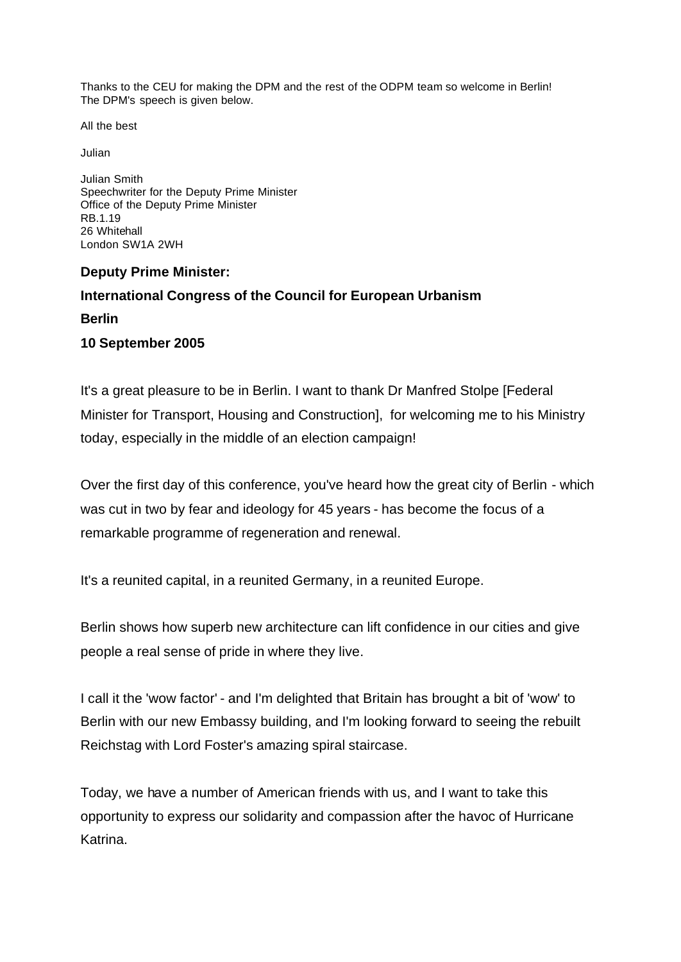Thanks to the CEU for making the DPM and the rest of the ODPM team so welcome in Berlin! The DPM's speech is given below.

All the best

Julian

Julian Smith Speechwriter for the Deputy Prime Minister Office of the Deputy Prime Minister RB.1.19 26 Whitehall London SW1A 2WH

## **Deputy Prime Minister: International Congress of the Council for European Urbanism Berlin**

## **10 September 2005**

It's a great pleasure to be in Berlin. I want to thank Dr Manfred Stolpe [Federal Minister for Transport, Housing and Construction], for welcoming me to his Ministry today, especially in the middle of an election campaign!

Over the first day of this conference, you've heard how the great city of Berlin - which was cut in two by fear and ideology for 45 years - has become the focus of a remarkable programme of regeneration and renewal.

It's a reunited capital, in a reunited Germany, in a reunited Europe.

Berlin shows how superb new architecture can lift confidence in our cities and give people a real sense of pride in where they live.

I call it the 'wow factor' - and I'm delighted that Britain has brought a bit of 'wow' to Berlin with our new Embassy building, and I'm looking forward to seeing the rebuilt Reichstag with Lord Foster's amazing spiral staircase.

Today, we have a number of American friends with us, and I want to take this opportunity to express our solidarity and compassion after the havoc of Hurricane Katrina.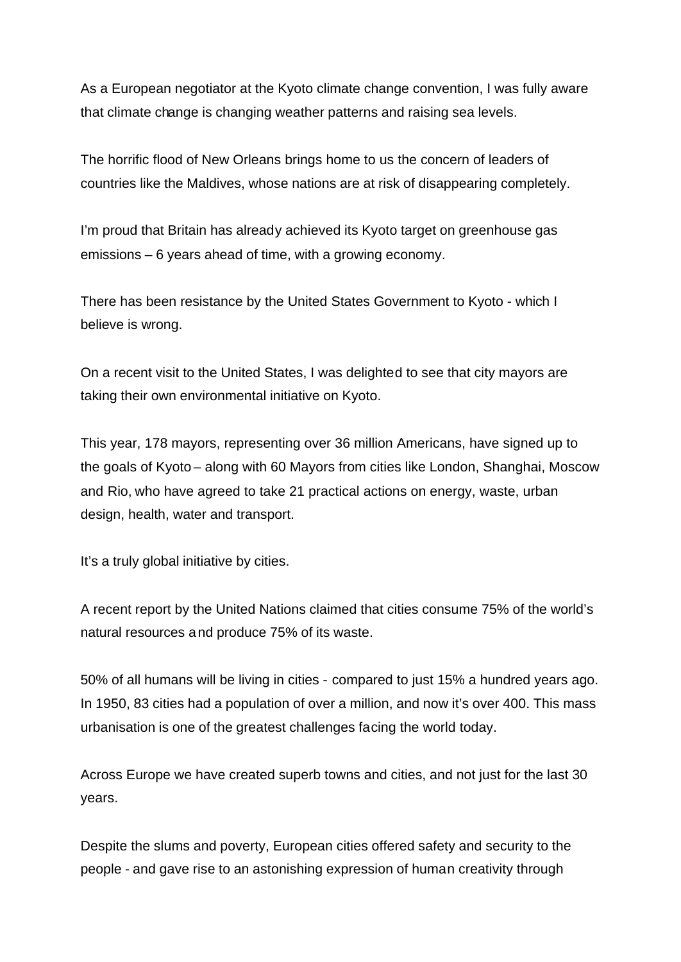As a European negotiator at the Kyoto climate change convention, I was fully aware that climate change is changing weather patterns and raising sea levels.

The horrific flood of New Orleans brings home to us the concern of leaders of countries like the Maldives, whose nations are at risk of disappearing completely.

I'm proud that Britain has already achieved its Kyoto target on greenhouse gas emissions – 6 years ahead of time, with a growing economy.

There has been resistance by the United States Government to Kyoto - which I believe is wrong.

On a recent visit to the United States, I was delighted to see that city mayors are taking their own environmental initiative on Kyoto.

This year, 178 mayors, representing over 36 million Americans, have signed up to the goals of Kyoto – along with 60 Mayors from cities like London, Shanghai, Moscow and Rio, who have agreed to take 21 practical actions on energy, waste, urban design, health, water and transport.

It's a truly global initiative by cities.

A recent report by the United Nations claimed that cities consume 75% of the world's natural resources and produce 75% of its waste.

50% of all humans will be living in cities - compared to just 15% a hundred years ago. In 1950, 83 cities had a population of over a million, and now it's over 400. This mass urbanisation is one of the greatest challenges facing the world today.

Across Europe we have created superb towns and cities, and not just for the last 30 years.

Despite the slums and poverty, European cities offered safety and security to the people - and gave rise to an astonishing expression of human creativity through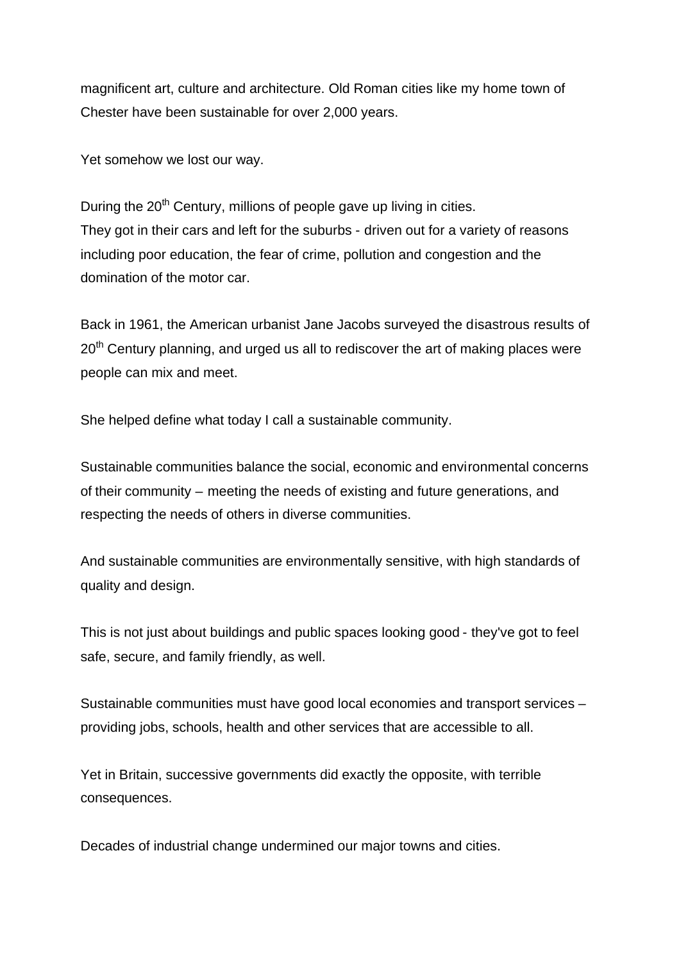magnificent art, culture and architecture. Old Roman cities like my home town of Chester have been sustainable for over 2,000 years.

Yet somehow we lost our way.

During the  $20<sup>th</sup>$  Century, millions of people gave up living in cities. They got in their cars and left for the suburbs - driven out for a variety of reasons including poor education, the fear of crime, pollution and congestion and the domination of the motor car.

Back in 1961, the American urbanist Jane Jacobs surveyed the disastrous results of  $20<sup>th</sup>$  Century planning, and urged us all to rediscover the art of making places were people can mix and meet.

She helped define what today I call a sustainable community.

Sustainable communities balance the social, economic and environmental concerns of their community – meeting the needs of existing and future generations, and respecting the needs of others in diverse communities.

And sustainable communities are environmentally sensitive, with high standards of quality and design.

This is not just about buildings and public spaces looking good - they've got to feel safe, secure, and family friendly, as well.

Sustainable communities must have good local economies and transport services – providing jobs, schools, health and other services that are accessible to all.

Yet in Britain, successive governments did exactly the opposite, with terrible consequences.

Decades of industrial change undermined our major towns and cities.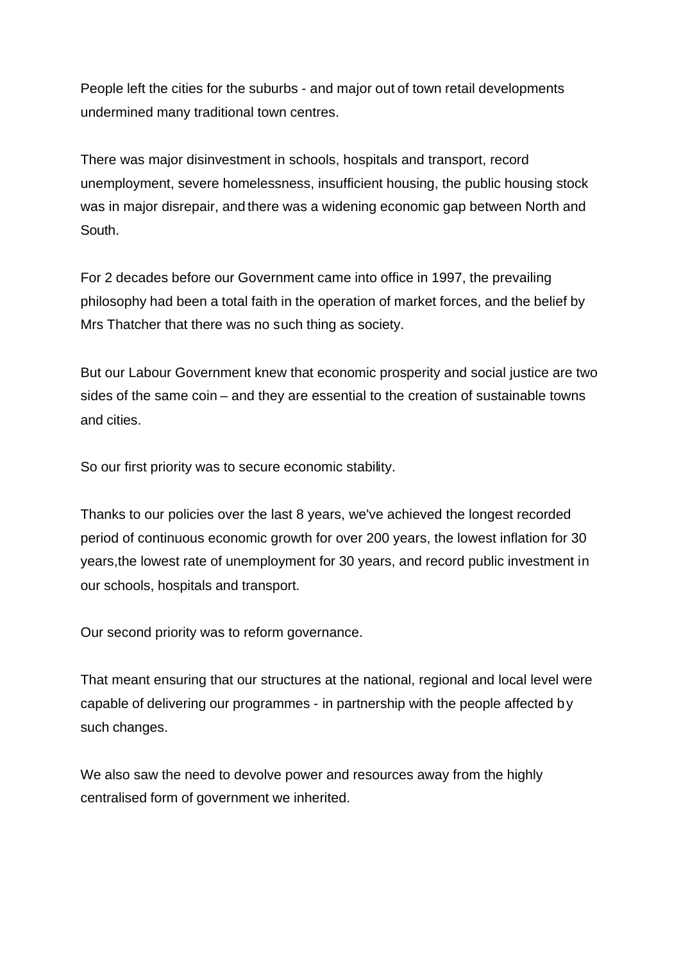People left the cities for the suburbs - and major out of town retail developments undermined many traditional town centres.

There was major disinvestment in schools, hospitals and transport, record unemployment, severe homelessness, insufficient housing, the public housing stock was in major disrepair, and there was a widening economic gap between North and South.

For 2 decades before our Government came into office in 1997, the prevailing philosophy had been a total faith in the operation of market forces, and the belief by Mrs Thatcher that there was no such thing as society.

But our Labour Government knew that economic prosperity and social justice are two sides of the same coin – and they are essential to the creation of sustainable towns and cities.

So our first priority was to secure economic stability.

Thanks to our policies over the last 8 years, we've achieved the longest recorded period of continuous economic growth for over 200 years, the lowest inflation for 30 years,the lowest rate of unemployment for 30 years, and record public investment in our schools, hospitals and transport.

Our second priority was to reform governance.

That meant ensuring that our structures at the national, regional and local level were capable of delivering our programmes - in partnership with the people affected by such changes.

We also saw the need to devolve power and resources away from the highly centralised form of government we inherited.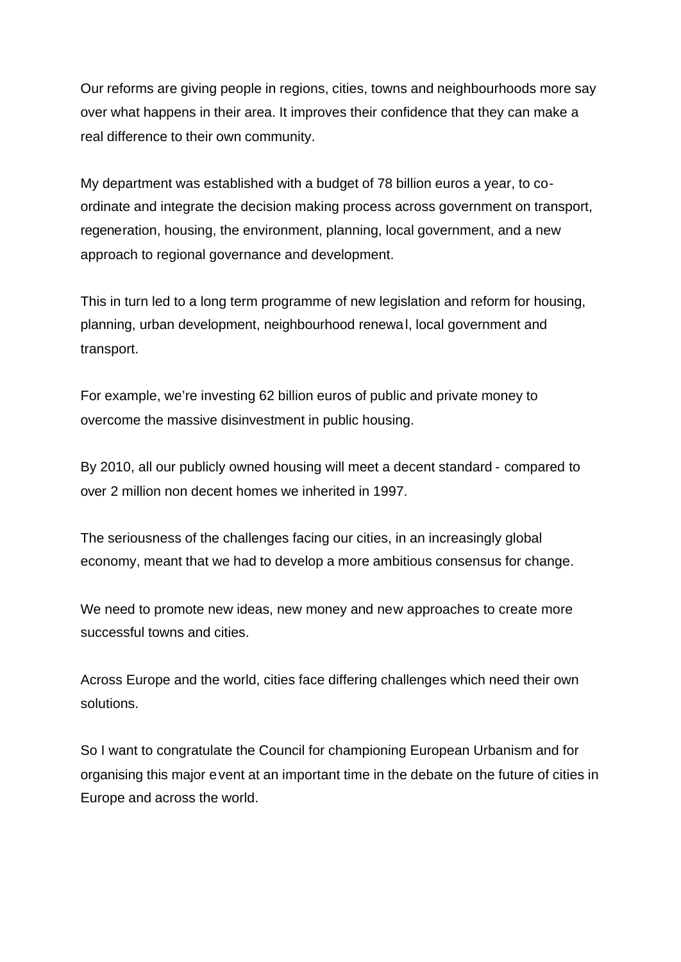Our reforms are giving people in regions, cities, towns and neighbourhoods more say over what happens in their area. It improves their confidence that they can make a real difference to their own community.

My department was established with a budget of 78 billion euros a year, to coordinate and integrate the decision making process across government on transport, regeneration, housing, the environment, planning, local government, and a new approach to regional governance and development.

This in turn led to a long term programme of new legislation and reform for housing, planning, urban development, neighbourhood renewal, local government and transport.

For example, we're investing 62 billion euros of public and private money to overcome the massive disinvestment in public housing.

By 2010, all our publicly owned housing will meet a decent standard - compared to over 2 million non decent homes we inherited in 1997.

The seriousness of the challenges facing our cities, in an increasingly global economy, meant that we had to develop a more ambitious consensus for change.

We need to promote new ideas, new money and new approaches to create more successful towns and cities.

Across Europe and the world, cities face differing challenges which need their own solutions.

So I want to congratulate the Council for championing European Urbanism and for organising this major event at an important time in the debate on the future of cities in Europe and across the world.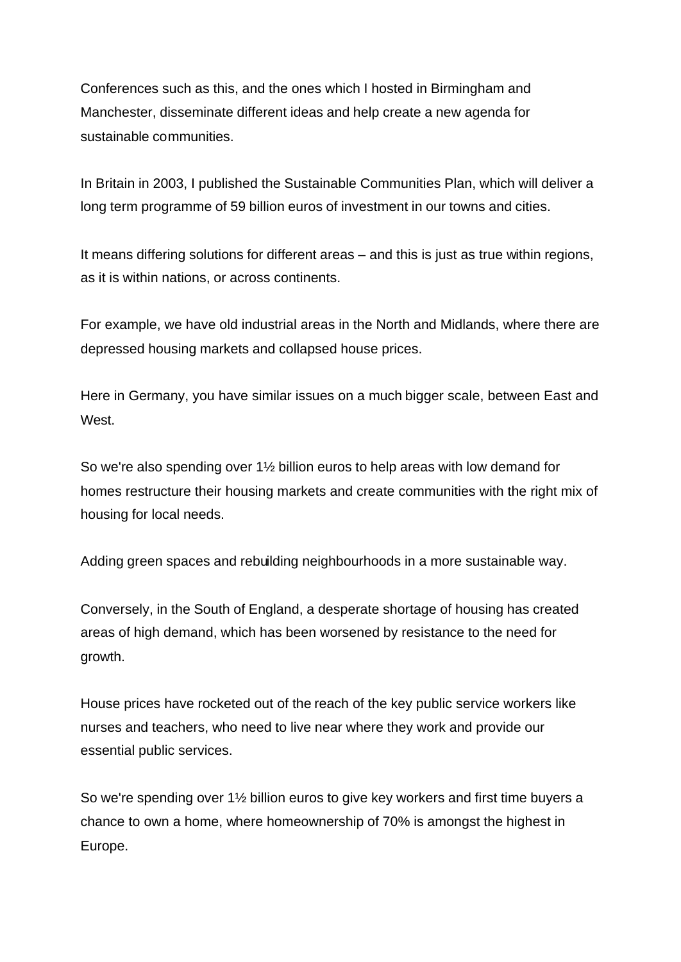Conferences such as this, and the ones which I hosted in Birmingham and Manchester, disseminate different ideas and help create a new agenda for sustainable communities.

In Britain in 2003, I published the Sustainable Communities Plan, which will deliver a long term programme of 59 billion euros of investment in our towns and cities.

It means differing solutions for different areas – and this is just as true within regions, as it is within nations, or across continents.

For example, we have old industrial areas in the North and Midlands, where there are depressed housing markets and collapsed house prices.

Here in Germany, you have similar issues on a much bigger scale, between East and West.

So we're also spending over 1½ billion euros to help areas with low demand for homes restructure their housing markets and create communities with the right mix of housing for local needs.

Adding green spaces and rebuilding neighbourhoods in a more sustainable way.

Conversely, in the South of England, a desperate shortage of housing has created areas of high demand, which has been worsened by resistance to the need for growth.

House prices have rocketed out of the reach of the key public service workers like nurses and teachers, who need to live near where they work and provide our essential public services.

So we're spending over 1½ billion euros to give key workers and first time buyers a chance to own a home, where homeownership of 70% is amongst the highest in Europe.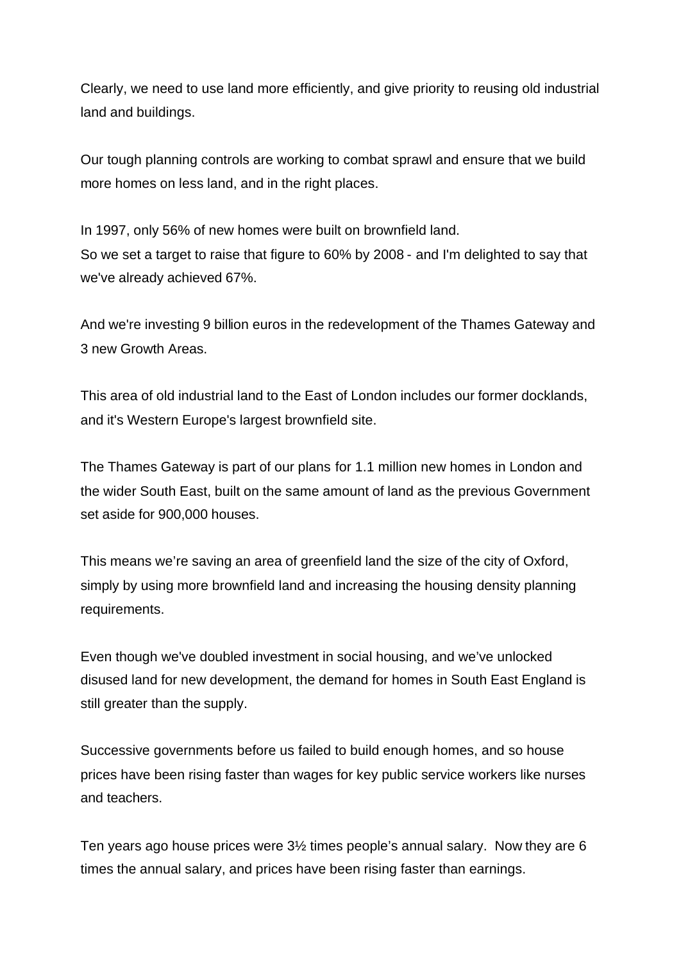Clearly, we need to use land more efficiently, and give priority to reusing old industrial land and buildings.

Our tough planning controls are working to combat sprawl and ensure that we build more homes on less land, and in the right places.

In 1997, only 56% of new homes were built on brownfield land. So we set a target to raise that figure to 60% by 2008 - and I'm delighted to say that we've already achieved 67%.

And we're investing 9 billion euros in the redevelopment of the Thames Gateway and 3 new Growth Areas.

This area of old industrial land to the East of London includes our former docklands, and it's Western Europe's largest brownfield site.

The Thames Gateway is part of our plans for 1.1 million new homes in London and the wider South East, built on the same amount of land as the previous Government set aside for 900,000 houses.

This means we're saving an area of greenfield land the size of the city of Oxford, simply by using more brownfield land and increasing the housing density planning requirements.

Even though we've doubled investment in social housing, and we've unlocked disused land for new development, the demand for homes in South East England is still greater than the supply.

Successive governments before us failed to build enough homes, and so house prices have been rising faster than wages for key public service workers like nurses and teachers.

Ten years ago house prices were 3½ times people's annual salary. Now they are 6 times the annual salary, and prices have been rising faster than earnings.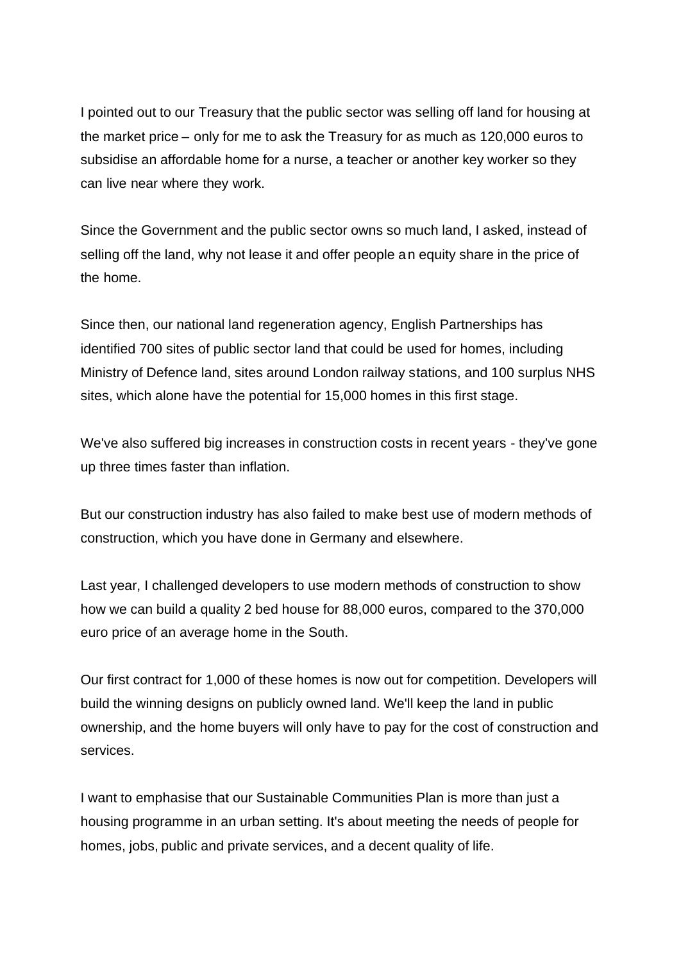I pointed out to our Treasury that the public sector was selling off land for housing at the market price – only for me to ask the Treasury for as much as 120,000 euros to subsidise an affordable home for a nurse, a teacher or another key worker so they can live near where they work.

Since the Government and the public sector owns so much land, I asked, instead of selling off the land, why not lease it and offer people an equity share in the price of the home.

Since then, our national land regeneration agency, English Partnerships has identified 700 sites of public sector land that could be used for homes, including Ministry of Defence land, sites around London railway stations, and 100 surplus NHS sites, which alone have the potential for 15,000 homes in this first stage.

We've also suffered big increases in construction costs in recent years - they've gone up three times faster than inflation.

But our construction industry has also failed to make best use of modern methods of construction, which you have done in Germany and elsewhere.

Last year, I challenged developers to use modern methods of construction to show how we can build a quality 2 bed house for 88,000 euros, compared to the 370,000 euro price of an average home in the South.

Our first contract for 1,000 of these homes is now out for competition. Developers will build the winning designs on publicly owned land. We'll keep the land in public ownership, and the home buyers will only have to pay for the cost of construction and services.

I want to emphasise that our Sustainable Communities Plan is more than just a housing programme in an urban setting. It's about meeting the needs of people for homes, jobs, public and private services, and a decent quality of life.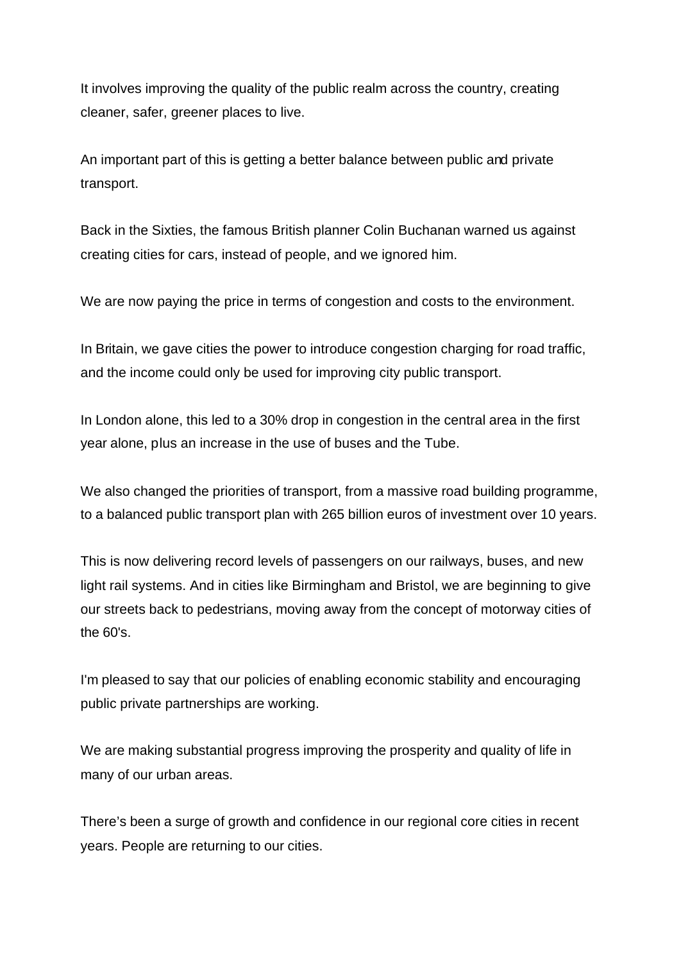It involves improving the quality of the public realm across the country, creating cleaner, safer, greener places to live.

An important part of this is getting a better balance between public and private transport.

Back in the Sixties, the famous British planner Colin Buchanan warned us against creating cities for cars, instead of people, and we ignored him.

We are now paying the price in terms of congestion and costs to the environment.

In Britain, we gave cities the power to introduce congestion charging for road traffic, and the income could only be used for improving city public transport.

In London alone, this led to a 30% drop in congestion in the central area in the first year alone, plus an increase in the use of buses and the Tube.

We also changed the priorities of transport, from a massive road building programme, to a balanced public transport plan with 265 billion euros of investment over 10 years.

This is now delivering record levels of passengers on our railways, buses, and new light rail systems. And in cities like Birmingham and Bristol, we are beginning to give our streets back to pedestrians, moving away from the concept of motorway cities of the 60's.

I'm pleased to say that our policies of enabling economic stability and encouraging public private partnerships are working.

We are making substantial progress improving the prosperity and quality of life in many of our urban areas.

There's been a surge of growth and confidence in our regional core cities in recent years. People are returning to our cities.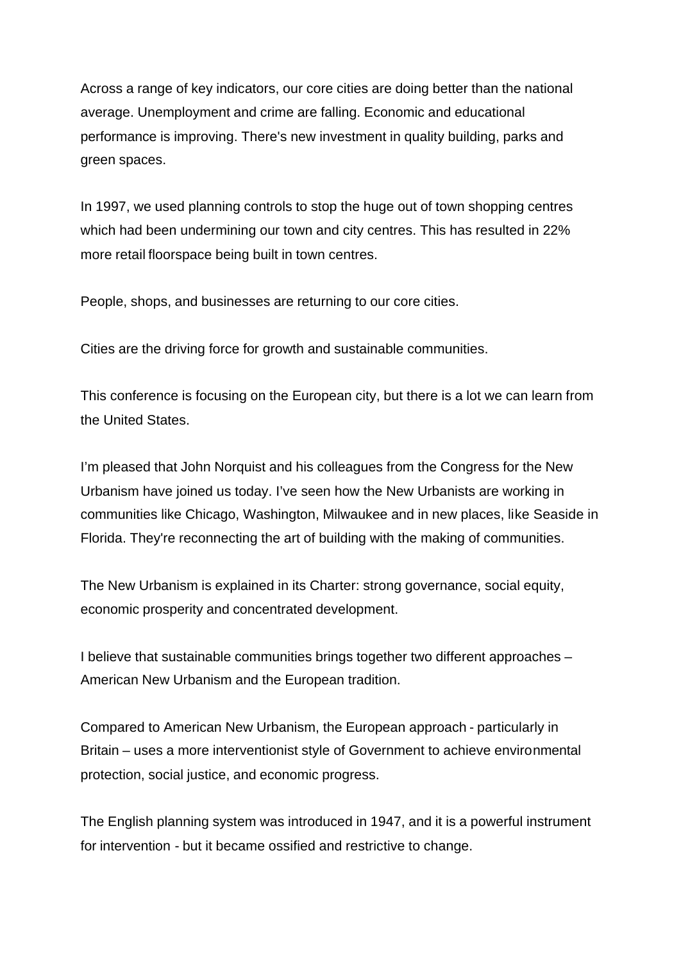Across a range of key indicators, our core cities are doing better than the national average. Unemployment and crime are falling. Economic and educational performance is improving. There's new investment in quality building, parks and green spaces.

In 1997, we used planning controls to stop the huge out of town shopping centres which had been undermining our town and city centres. This has resulted in 22% more retail floorspace being built in town centres.

People, shops, and businesses are returning to our core cities.

Cities are the driving force for growth and sustainable communities.

This conference is focusing on the European city, but there is a lot we can learn from the United States.

I'm pleased that John Norquist and his colleagues from the Congress for the New Urbanism have joined us today. I've seen how the New Urbanists are working in communities like Chicago, Washington, Milwaukee and in new places, like Seaside in Florida. They're reconnecting the art of building with the making of communities.

The New Urbanism is explained in its Charter: strong governance, social equity, economic prosperity and concentrated development.

I believe that sustainable communities brings together two different approaches – American New Urbanism and the European tradition.

Compared to American New Urbanism, the European approach - particularly in Britain – uses a more interventionist style of Government to achieve environmental protection, social justice, and economic progress.

The English planning system was introduced in 1947, and it is a powerful instrument for intervention - but it became ossified and restrictive to change.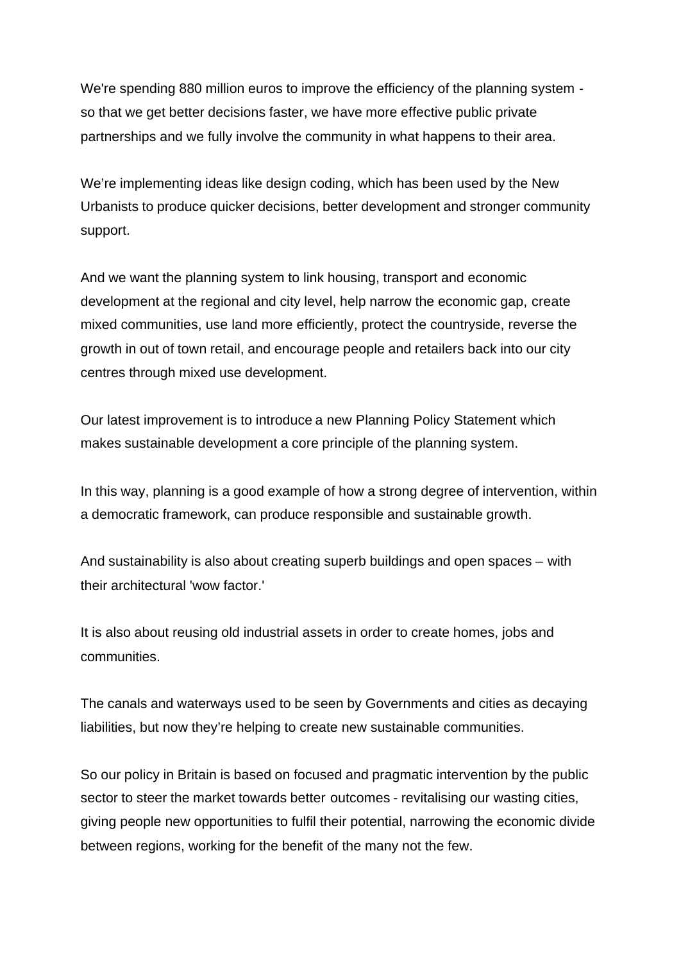We're spending 880 million euros to improve the efficiency of the planning system so that we get better decisions faster, we have more effective public private partnerships and we fully involve the community in what happens to their area.

We're implementing ideas like design coding, which has been used by the New Urbanists to produce quicker decisions, better development and stronger community support.

And we want the planning system to link housing, transport and economic development at the regional and city level, help narrow the economic gap, create mixed communities, use land more efficiently, protect the countryside, reverse the growth in out of town retail, and encourage people and retailers back into our city centres through mixed use development.

Our latest improvement is to introduce a new Planning Policy Statement which makes sustainable development a core principle of the planning system.

In this way, planning is a good example of how a strong degree of intervention, within a democratic framework, can produce responsible and sustainable growth.

And sustainability is also about creating superb buildings and open spaces – with their architectural 'wow factor.'

It is also about reusing old industrial assets in order to create homes, jobs and communities.

The canals and waterways used to be seen by Governments and cities as decaying liabilities, but now they're helping to create new sustainable communities.

So our policy in Britain is based on focused and pragmatic intervention by the public sector to steer the market towards better outcomes - revitalising our wasting cities, giving people new opportunities to fulfil their potential, narrowing the economic divide between regions, working for the benefit of the many not the few.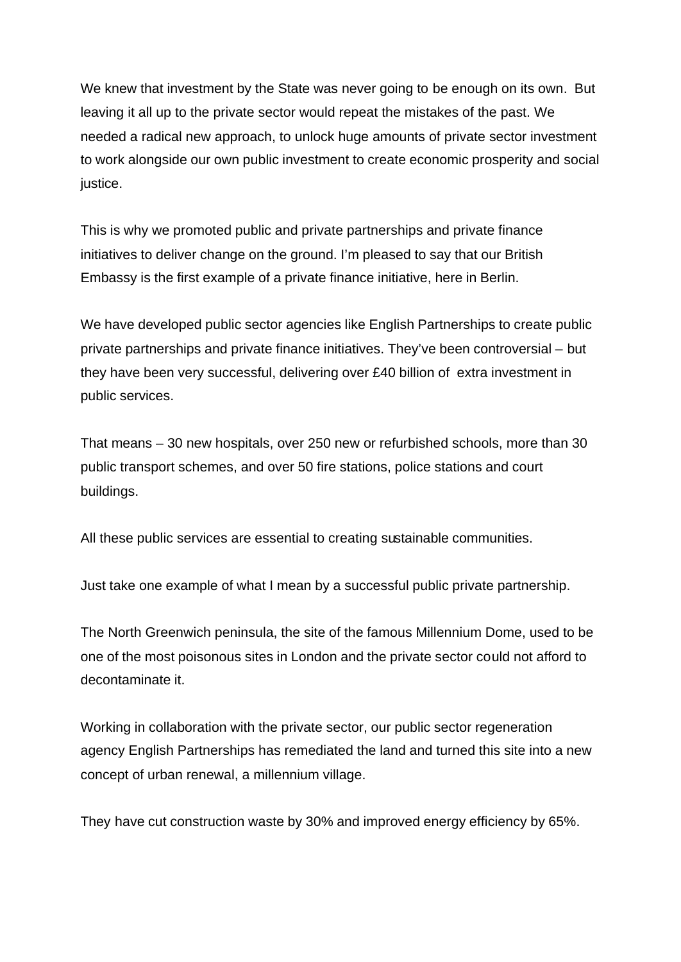We knew that investment by the State was never going to be enough on its own. But leaving it all up to the private sector would repeat the mistakes of the past. We needed a radical new approach, to unlock huge amounts of private sector investment to work alongside our own public investment to create economic prosperity and social justice.

This is why we promoted public and private partnerships and private finance initiatives to deliver change on the ground. I'm pleased to say that our British Embassy is the first example of a private finance initiative, here in Berlin.

We have developed public sector agencies like English Partnerships to create public private partnerships and private finance initiatives. They've been controversial – but they have been very successful, delivering over £40 billion of extra investment in public services.

That means – 30 new hospitals, over 250 new or refurbished schools, more than 30 public transport schemes, and over 50 fire stations, police stations and court buildings.

All these public services are essential to creating sustainable communities.

Just take one example of what I mean by a successful public private partnership.

The North Greenwich peninsula, the site of the famous Millennium Dome, used to be one of the most poisonous sites in London and the private sector could not afford to decontaminate it.

Working in collaboration with the private sector, our public sector regeneration agency English Partnerships has remediated the land and turned this site into a new concept of urban renewal, a millennium village.

They have cut construction waste by 30% and improved energy efficiency by 65%.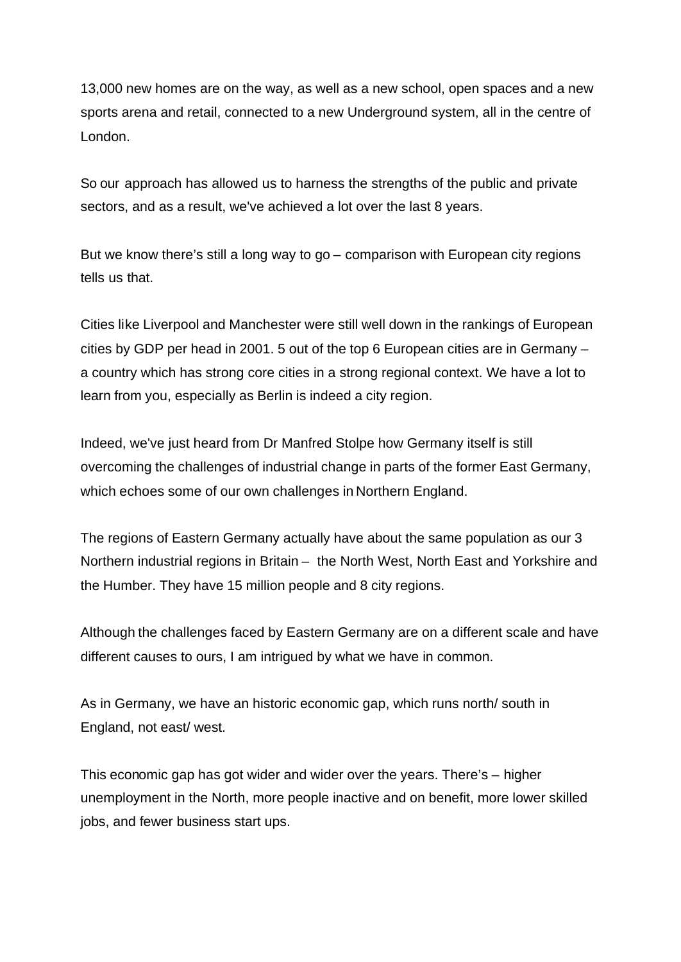13,000 new homes are on the way, as well as a new school, open spaces and a new sports arena and retail, connected to a new Underground system, all in the centre of London.

So our approach has allowed us to harness the strengths of the public and private sectors, and as a result, we've achieved a lot over the last 8 years.

But we know there's still a long way to go – comparison with European city regions tells us that.

Cities like Liverpool and Manchester were still well down in the rankings of European cities by GDP per head in 2001. 5 out of the top 6 European cities are in Germany – a country which has strong core cities in a strong regional context. We have a lot to learn from you, especially as Berlin is indeed a city region.

Indeed, we've just heard from Dr Manfred Stolpe how Germany itself is still overcoming the challenges of industrial change in parts of the former East Germany, which echoes some of our own challenges in Northern England.

The regions of Eastern Germany actually have about the same population as our 3 Northern industrial regions in Britain – the North West, North East and Yorkshire and the Humber. They have 15 million people and 8 city regions.

Although the challenges faced by Eastern Germany are on a different scale and have different causes to ours, I am intrigued by what we have in common.

As in Germany, we have an historic economic gap, which runs north/ south in England, not east/ west.

This economic gap has got wider and wider over the years. There's – higher unemployment in the North, more people inactive and on benefit, more lower skilled jobs, and fewer business start ups.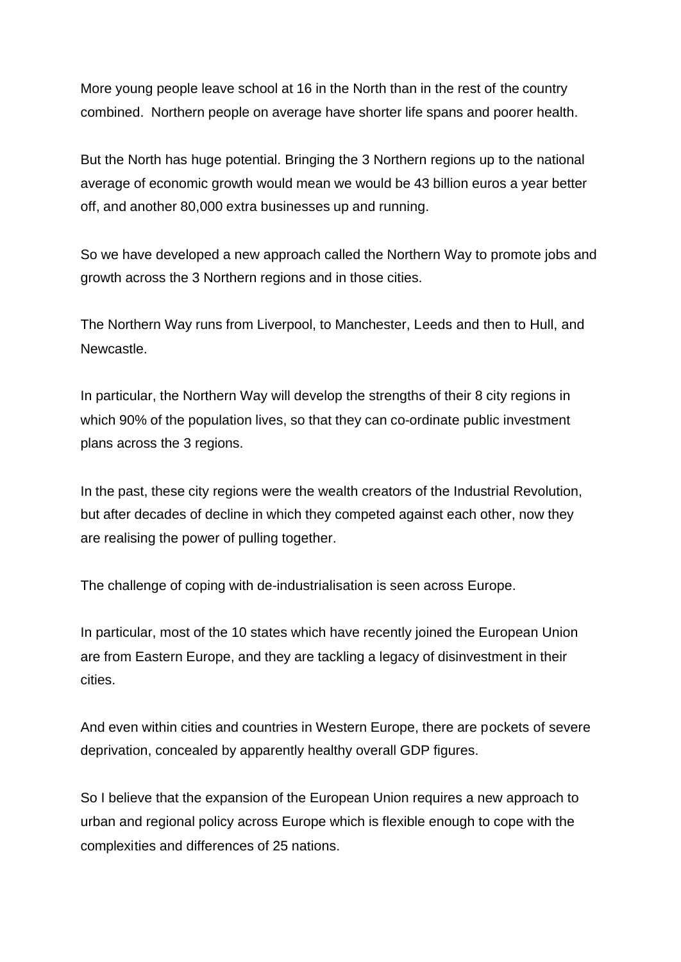More young people leave school at 16 in the North than in the rest of the country combined. Northern people on average have shorter life spans and poorer health.

But the North has huge potential. Bringing the 3 Northern regions up to the national average of economic growth would mean we would be 43 billion euros a year better off, and another 80,000 extra businesses up and running.

So we have developed a new approach called the Northern Way to promote jobs and growth across the 3 Northern regions and in those cities.

The Northern Way runs from Liverpool, to Manchester, Leeds and then to Hull, and Newcastle.

In particular, the Northern Way will develop the strengths of their 8 city regions in which 90% of the population lives, so that they can co-ordinate public investment plans across the 3 regions.

In the past, these city regions were the wealth creators of the Industrial Revolution, but after decades of decline in which they competed against each other, now they are realising the power of pulling together.

The challenge of coping with de-industrialisation is seen across Europe.

In particular, most of the 10 states which have recently joined the European Union are from Eastern Europe, and they are tackling a legacy of disinvestment in their cities.

And even within cities and countries in Western Europe, there are pockets of severe deprivation, concealed by apparently healthy overall GDP figures.

So I believe that the expansion of the European Union requires a new approach to urban and regional policy across Europe which is flexible enough to cope with the complexities and differences of 25 nations.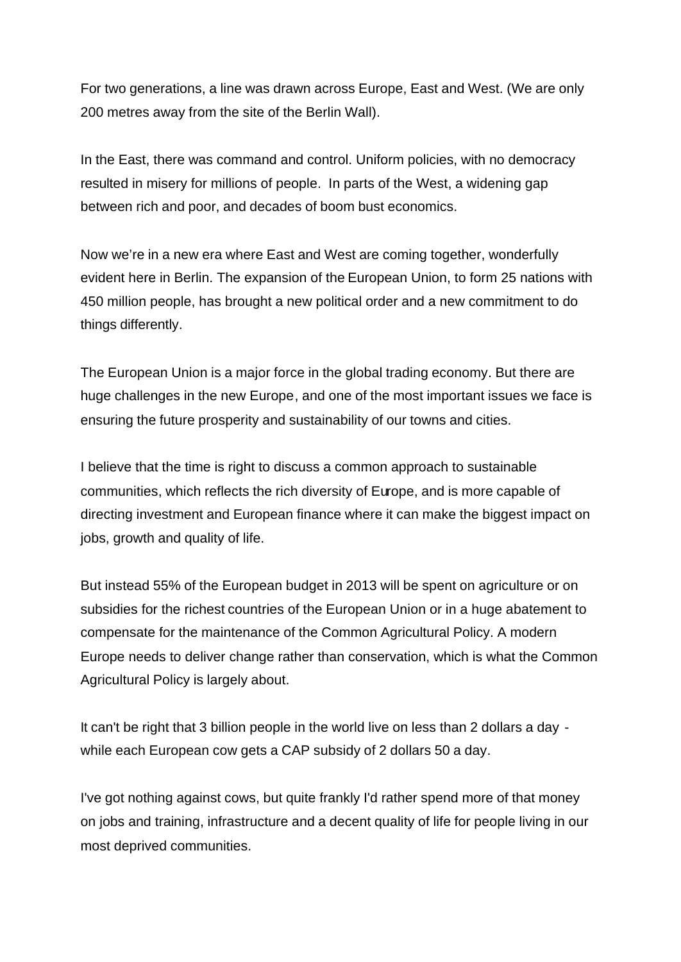For two generations, a line was drawn across Europe, East and West. (We are only 200 metres away from the site of the Berlin Wall).

In the East, there was command and control. Uniform policies, with no democracy resulted in misery for millions of people. In parts of the West, a widening gap between rich and poor, and decades of boom bust economics.

Now we're in a new era where East and West are coming together, wonderfully evident here in Berlin. The expansion of the European Union, to form 25 nations with 450 million people, has brought a new political order and a new commitment to do things differently.

The European Union is a major force in the global trading economy. But there are huge challenges in the new Europe, and one of the most important issues we face is ensuring the future prosperity and sustainability of our towns and cities.

I believe that the time is right to discuss a common approach to sustainable communities, which reflects the rich diversity of Europe, and is more capable of directing investment and European finance where it can make the biggest impact on jobs, growth and quality of life.

But instead 55% of the European budget in 2013 will be spent on agriculture or on subsidies for the richest countries of the European Union or in a huge abatement to compensate for the maintenance of the Common Agricultural Policy. A modern Europe needs to deliver change rather than conservation, which is what the Common Agricultural Policy is largely about.

It can't be right that 3 billion people in the world live on less than 2 dollars a day while each European cow gets a CAP subsidy of 2 dollars 50 a day.

I've got nothing against cows, but quite frankly I'd rather spend more of that money on jobs and training, infrastructure and a decent quality of life for people living in our most deprived communities.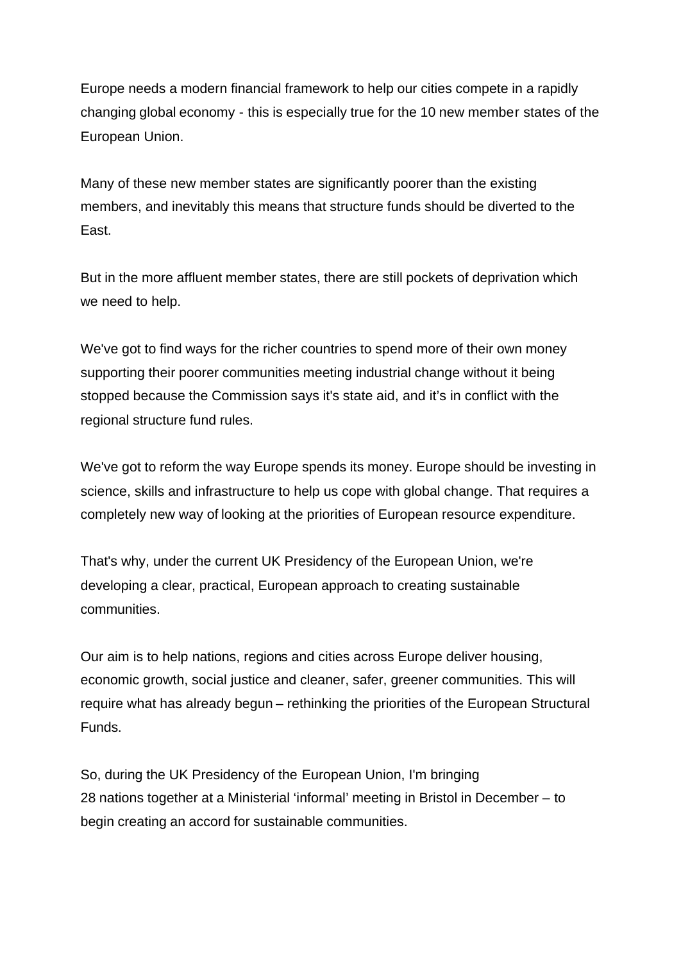Europe needs a modern financial framework to help our cities compete in a rapidly changing global economy - this is especially true for the 10 new member states of the European Union.

Many of these new member states are significantly poorer than the existing members, and inevitably this means that structure funds should be diverted to the East.

But in the more affluent member states, there are still pockets of deprivation which we need to help.

We've got to find ways for the richer countries to spend more of their own money supporting their poorer communities meeting industrial change without it being stopped because the Commission says it's state aid, and it's in conflict with the regional structure fund rules.

We've got to reform the way Europe spends its money. Europe should be investing in science, skills and infrastructure to help us cope with global change. That requires a completely new way of looking at the priorities of European resource expenditure.

That's why, under the current UK Presidency of the European Union, we're developing a clear, practical, European approach to creating sustainable communities.

Our aim is to help nations, regions and cities across Europe deliver housing, economic growth, social justice and cleaner, safer, greener communities. This will require what has already begun – rethinking the priorities of the European Structural Funds.

So, during the UK Presidency of the European Union, I'm bringing 28 nations together at a Ministerial 'informal' meeting in Bristol in December – to begin creating an accord for sustainable communities.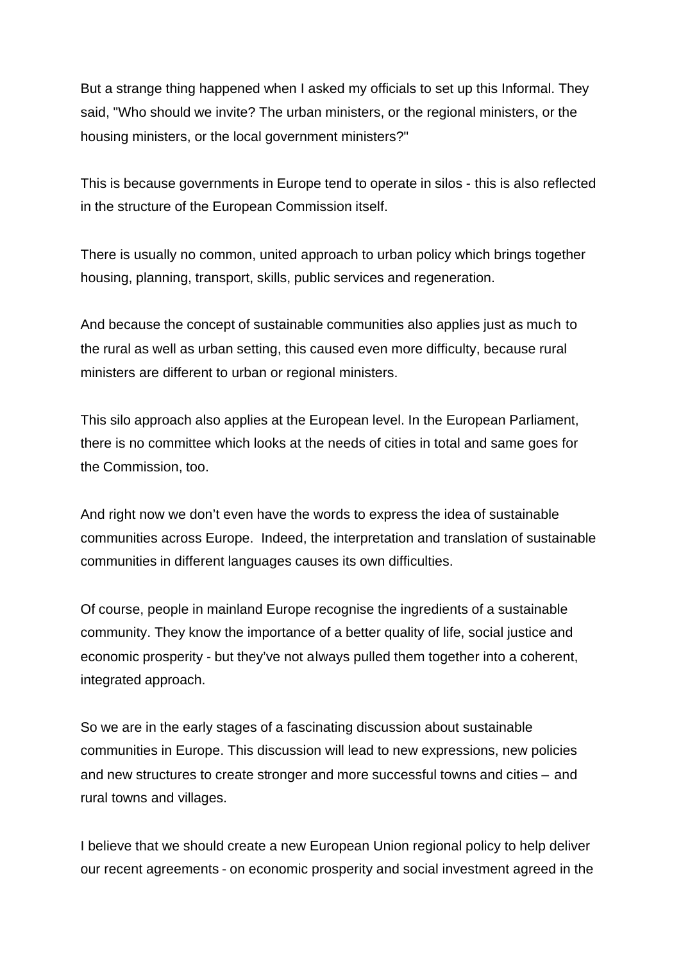But a strange thing happened when I asked my officials to set up this Informal. They said, "Who should we invite? The urban ministers, or the regional ministers, or the housing ministers, or the local government ministers?"

This is because governments in Europe tend to operate in silos - this is also reflected in the structure of the European Commission itself.

There is usually no common, united approach to urban policy which brings together housing, planning, transport, skills, public services and regeneration.

And because the concept of sustainable communities also applies just as much to the rural as well as urban setting, this caused even more difficulty, because rural ministers are different to urban or regional ministers.

This silo approach also applies at the European level. In the European Parliament, there is no committee which looks at the needs of cities in total and same goes for the Commission, too.

And right now we don't even have the words to express the idea of sustainable communities across Europe. Indeed, the interpretation and translation of sustainable communities in different languages causes its own difficulties.

Of course, people in mainland Europe recognise the ingredients of a sustainable community. They know the importance of a better quality of life, social justice and economic prosperity - but they've not always pulled them together into a coherent, integrated approach.

So we are in the early stages of a fascinating discussion about sustainable communities in Europe. This discussion will lead to new expressions, new policies and new structures to create stronger and more successful towns and cities – and rural towns and villages.

I believe that we should create a new European Union regional policy to help deliver our recent agreements - on economic prosperity and social investment agreed in the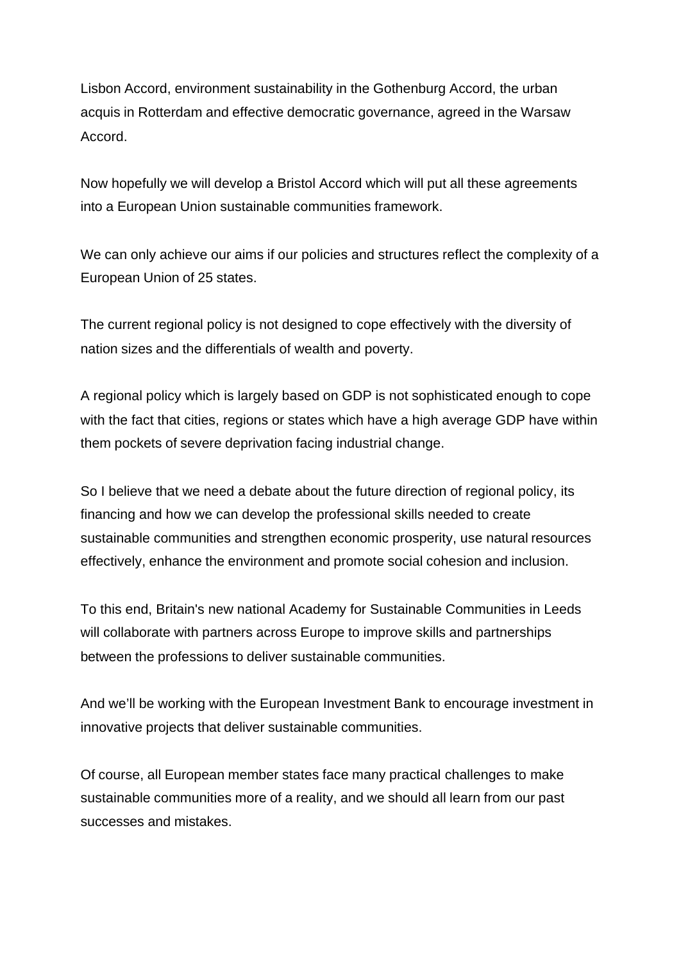Lisbon Accord, environment sustainability in the Gothenburg Accord, the urban acquis in Rotterdam and effective democratic governance, agreed in the Warsaw Accord.

Now hopefully we will develop a Bristol Accord which will put all these agreements into a European Union sustainable communities framework.

We can only achieve our aims if our policies and structures reflect the complexity of a European Union of 25 states.

The current regional policy is not designed to cope effectively with the diversity of nation sizes and the differentials of wealth and poverty.

A regional policy which is largely based on GDP is not sophisticated enough to cope with the fact that cities, regions or states which have a high average GDP have within them pockets of severe deprivation facing industrial change.

So I believe that we need a debate about the future direction of regional policy, its financing and how we can develop the professional skills needed to create sustainable communities and strengthen economic prosperity, use natural resources effectively, enhance the environment and promote social cohesion and inclusion.

To this end, Britain's new national Academy for Sustainable Communities in Leeds will collaborate with partners across Europe to improve skills and partnerships between the professions to deliver sustainable communities.

And we'll be working with the European Investment Bank to encourage investment in innovative projects that deliver sustainable communities.

Of course, all European member states face many practical challenges to make sustainable communities more of a reality, and we should all learn from our past successes and mistakes.